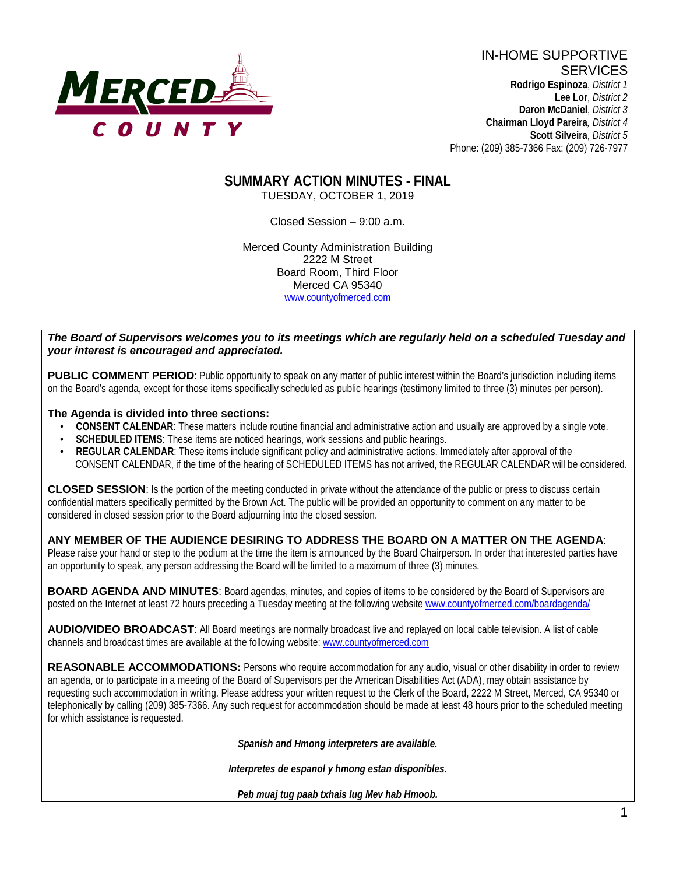

IN-HOME SUPPORTIVE **SERVICES Rodrigo Espinoza**, *District 1*  **Lee Lor**, *District 2*  **Daron McDaniel**, *District 3* **Chairman Lloyd Pareira***, District 4*  **Scott Silveira**, *District 5* Phone: (209) 385-7366 Fax: (209) 726-7977

## **SUMMARY ACTION MINUTES - FINAL** TUESDAY, OCTOBER 1, 2019

Closed Session – 9:00 a.m.

Merced County Administration Building 2222 M Street Board Room, Third Floor Merced CA 95340 www.countyofmerced.com

#### *The Board of Supervisors welcomes you to its meetings which are regularly held on a scheduled Tuesday and your interest is encouraged and appreciated.*

**PUBLIC COMMENT PERIOD:** Public opportunity to speak on any matter of public interest within the Board's jurisdiction including items on the Board's agenda, except for those items specifically scheduled as public hearings (testimony limited to three (3) minutes per person).

#### **The Agenda is divided into three sections:**

- **CONSENT CALENDAR**: These matters include routine financial and administrative action and usually are approved by a single vote.
- **SCHEDULED ITEMS:** These items are noticed hearings, work sessions and public hearings.
- **REGULAR CALENDAR:** These items include significant policy and administrative actions. Immediately after approval of the CONSENT CALENDAR, if the time of the hearing of SCHEDULED ITEMS has not arrived, the REGULAR CALENDAR will be considered.

**CLOSED SESSION**: Is the portion of the meeting conducted in private without the attendance of the public or press to discuss certain confidential matters specifically permitted by the Brown Act. The public will be provided an opportunity to comment on any matter to be considered in closed session prior to the Board adjourning into the closed session.

#### **ANY MEMBER OF THE AUDIENCE DESIRING TO ADDRESS THE BOARD ON A MATTER ON THE AGENDA**:

Please raise your hand or step to the podium at the time the item is announced by the Board Chairperson. In order that interested parties have an opportunity to speak, any person addressing the Board will be limited to a maximum of three (3) minutes.

**BOARD AGENDA AND MINUTES:** Board agendas, minutes, and copies of items to be considered by the Board of Supervisors are posted on the Internet at least 72 hours preceding a Tuesday meeting at the following website [www.countyofmerced.com/boardagenda/](http://www.countyofmerced.com/boardagenda/) 

**AUDIO/VIDEO BROADCAST**: All Board meetings are normally broadcast live and replayed on local cable television. A list of cable channels and broadcast times are available at the following website[: www.countyofmerced.com](http://www.countyofmerced.com/)

**REASONABLE ACCOMMODATIONS:** Persons who require accommodation for any audio, visual or other disability in order to review an agenda, or to participate in a meeting of the Board of Supervisors per the American Disabilities Act (ADA), may obtain assistance by requesting such accommodation in writing. Please address your written request to the Clerk of the Board, 2222 M Street, Merced, CA 95340 or telephonically by calling (209) 385-7366. Any such request for accommodation should be made at least 48 hours prior to the scheduled meeting for which assistance is requested.

*Spanish and Hmong interpreters are available.*

*Interpretes de espanol y hmong estan disponibles.*

*Peb muaj tug paab txhais lug Mev hab Hmoob.*